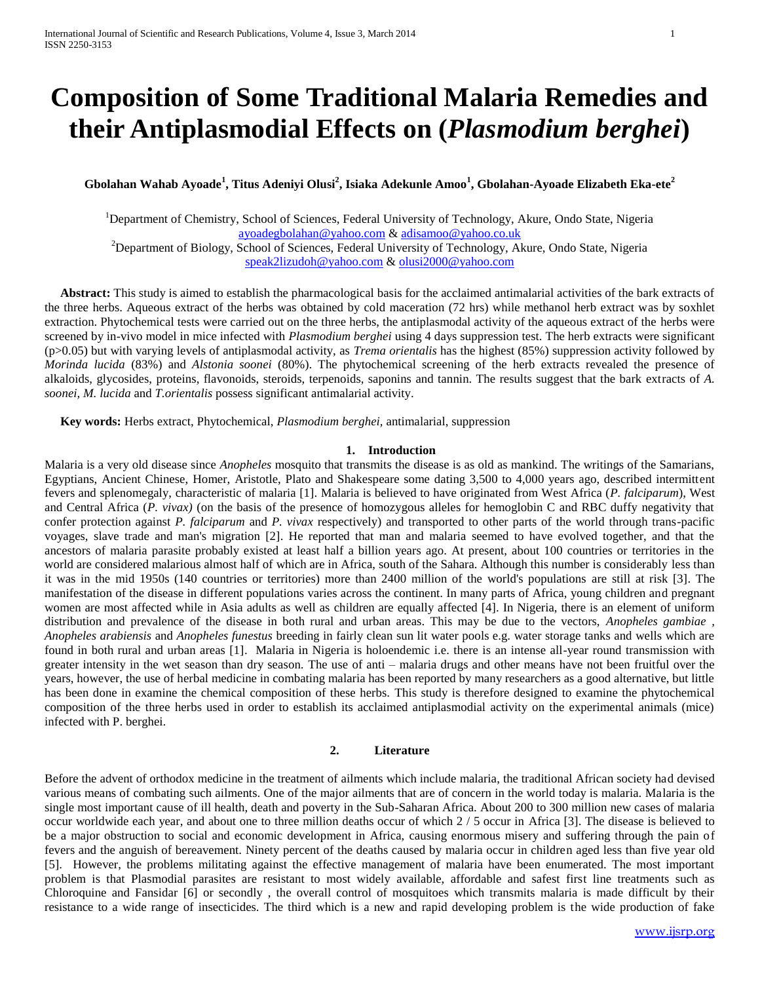# **Composition of Some Traditional Malaria Remedies and their Antiplasmodial Effects on (***Plasmodium berghei***)**

**Gbolahan Wahab Ayoade<sup>1</sup> , Titus Adeniyi Olusi<sup>2</sup> , Isiaka Adekunle Amoo<sup>1</sup> , Gbolahan-Ayoade Elizabeth Eka-ete<sup>2</sup>**

<sup>1</sup>Department of Chemistry, School of Sciences, Federal University of Technology, Akure, Ondo State, Nigeria [ayoadegbolahan@yahoo.com](mailto:ayoadegbolahan@yahoo.com) & [adisamoo@yahoo.co.uk](mailto:adisamoo@yahoo.co.uk) <sup>2</sup>Department of Biology, School of Sciences, Federal University of Technology, Akure, Ondo State, Nigeria [speak2lizudoh@yahoo.com](mailto:speak2lizudoh@yahoo.com) [& olusi2000@yahoo.com](mailto:olusi2000@yahoo.com)

 **Abstract:** This study is aimed to establish the pharmacological basis for the acclaimed antimalarial activities of the bark extracts of the three herbs. Aqueous extract of the herbs was obtained by cold maceration (72 hrs) while methanol herb extract was by soxhlet extraction. Phytochemical tests were carried out on the three herbs, the antiplasmodal activity of the aqueous extract of the herbs were screened by in-vivo model in mice infected with *Plasmodium berghei* using 4 days suppression test. The herb extracts were significant (p>0.05) but with varying levels of antiplasmodal activity, as *Trema orientalis* has the highest (85%) suppression activity followed by *Morinda lucida* (83%) and *Alstonia soonei* (80%). The phytochemical screening of the herb extracts revealed the presence of alkaloids, glycosides, proteins, flavonoids, steroids, terpenoids, saponins and tannin. The results suggest that the bark extracts of *A. soonei, M. lucida* and *T.orientalis* possess significant antimalarial activity.

 **Key words:** Herbs extract, Phytochemical, *Plasmodium berghei,* antimalarial, suppression

## **1. Introduction**

Malaria is a very old disease since *Anopheles* mosquito that transmits the disease is as old as mankind. The writings of the Samarians, Egyptians, Ancient Chinese, Homer, Aristotle, Plato and Shakespeare some dating 3,500 to 4,000 years ago, described intermittent fevers and splenomegaly, characteristic of malaria [1]. Malaria is believed to have originated from West Africa (*P. falciparum*), West and Central Africa (*P. vivax)* (on the basis of the presence of homozygous alleles for hemoglobin C and RBC duffy negativity that confer protection against *P. falciparum* and *P. vivax* respectively) and transported to other parts of the world through trans-pacific voyages, slave trade and man's migration [2]. He reported that man and malaria seemed to have evolved together, and that the ancestors of malaria parasite probably existed at least half a billion years ago. At present, about 100 countries or territories in the world are considered malarious almost half of which are in Africa, south of the Sahara. Although this number is considerably less than it was in the mid 1950s (140 countries or territories) more than 2400 million of the world's populations are still at risk [3]. The manifestation of the disease in different populations varies across the continent. In many parts of Africa, young children and pregnant women are most affected while in Asia adults as well as children are equally affected [4]. In Nigeria, there is an element of uniform distribution and prevalence of the disease in both rural and urban areas. This may be due to the vectors, *Anopheles gambiae , Anopheles arabiensis* and *Anopheles funestus* breeding in fairly clean sun lit water pools e.g. water storage tanks and wells which are found in both rural and urban areas [1]. Malaria in Nigeria is holoendemic i.e. there is an intense all-year round transmission with greater intensity in the wet season than dry season. The use of anti – malaria drugs and other means have not been fruitful over the years, however, the use of herbal medicine in combating malaria has been reported by many researchers as a good alternative, but little has been done in examine the chemical composition of these herbs. This study is therefore designed to examine the phytochemical composition of the three herbs used in order to establish its acclaimed antiplasmodial activity on the experimental animals (mice) infected with P. berghei.

## **2. Literature**

Before the advent of orthodox medicine in the treatment of ailments which include malaria, the traditional African society had devised various means of combating such ailments. One of the major ailments that are of concern in the world today is malaria. Malaria is the single most important cause of ill health, death and poverty in the Sub-Saharan Africa. About 200 to 300 million new cases of malaria occur worldwide each year, and about one to three million deaths occur of which 2 / 5 occur in Africa [3]. The disease is believed to be a major obstruction to social and economic development in Africa, causing enormous misery and suffering through the pain of fevers and the anguish of bereavement. Ninety percent of the deaths caused by malaria occur in children aged less than five year old [5]. However, the problems militating against the effective management of malaria have been enumerated. The most important problem is that Plasmodial parasites are resistant to most widely available, affordable and safest first line treatments such as Chloroquine and Fansidar [6] or secondly , the overall control of mosquitoes which transmits malaria is made difficult by their resistance to a wide range of insecticides. The third which is a new and rapid developing problem is the wide production of fake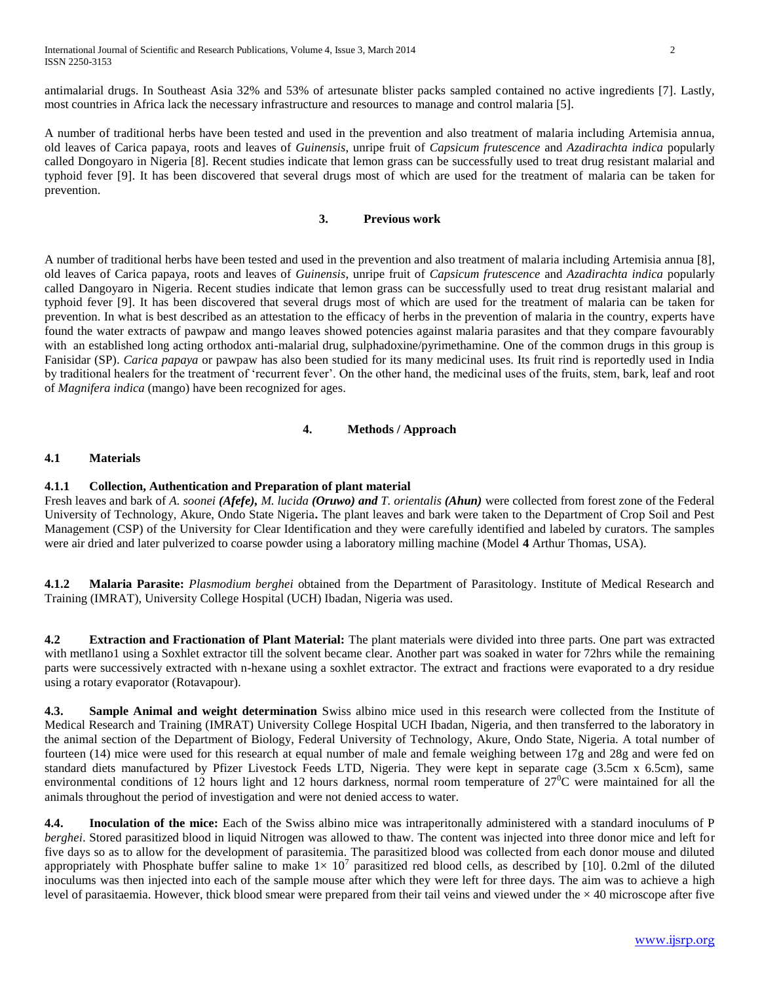International Journal of Scientific and Research Publications, Volume 4, Issue 3, March 2014 2 ISSN 2250-3153

antimalarial drugs. In Southeast Asia 32% and 53% of artesunate blister packs sampled contained no active ingredients [7]. Lastly, most countries in Africa lack the necessary infrastructure and resources to manage and control malaria [5].

A number of traditional herbs have been tested and used in the prevention and also treatment of malaria including Artemisia annua, old leaves of Carica papaya, roots and leaves of *Guinensis*, unripe fruit of *Capsicum frutescence* and *Azadirachta indica* popularly called Dongoyaro in Nigeria [8]. Recent studies indicate that lemon grass can be successfully used to treat drug resistant malarial and typhoid fever [9]. It has been discovered that several drugs most of which are used for the treatment of malaria can be taken for prevention.

# **3. Previous work**

A number of traditional herbs have been tested and used in the prevention and also treatment of malaria including Artemisia annua [8], old leaves of Carica papaya, roots and leaves of *Guinensis*, unripe fruit of *Capsicum frutescence* and *Azadirachta indica* popularly called Dangoyaro in Nigeria. Recent studies indicate that lemon grass can be successfully used to treat drug resistant malarial and typhoid fever [9]. It has been discovered that several drugs most of which are used for the treatment of malaria can be taken for prevention. In what is best described as an attestation to the efficacy of herbs in the prevention of malaria in the country, experts have found the water extracts of pawpaw and mango leaves showed potencies against malaria parasites and that they compare favourably with an established long acting orthodox anti-malarial drug, sulphadoxine/pyrimethamine. One of the common drugs in this group is Fanisidar (SP). *Carica papaya* or pawpaw has also been studied for its many medicinal uses. Its fruit rind is reportedly used in India by traditional healers for the treatment of 'recurrent fever'. On the other hand, the medicinal uses of the fruits, stem, bark, leaf and root of *Magnifera indica* (mango) have been recognized for ages.

## **4. Methods / Approach**

# **4.1 Materials**

## **4.1.1 Collection, Authentication and Preparation of plant material**

Fresh leaves and bark of *A. soonei (Afefe), M. lucida (Oruwo) and T. orientalis (Ahun)* were collected from forest zone of the Federal University of Technology, Akure, Ondo State Nigeria**.** The plant leaves and bark were taken to the Department of Crop Soil and Pest Management (CSP) of the University for Clear Identification and they were carefully identified and labeled by curators. The samples were air dried and later pulverized to coarse powder using a laboratory milling machine (Model **4** Arthur Thomas, USA).

**4.1.2 Malaria Parasite:** *Plasmodium berghei* obtained from the Department of Parasitology. Institute of Medical Research and Training (IMRAT), University College Hospital (UCH) Ibadan, Nigeria was used.

**4.2 Extraction and Fractionation of Plant Material:** The plant materials were divided into three parts. One part was extracted with metllano1 using a Soxhlet extractor till the solvent became clear. Another part was soaked in water for 72hrs while the remaining parts were successively extracted with n-hexane using a soxhlet extractor. The extract and fractions were evaporated to a dry residue using a rotary evaporator (Rotavapour).

**4.3. Sample Animal and weight determination** Swiss albino mice used in this research were collected from the Institute of Medical Research and Training (IMRAT) University College Hospital UCH Ibadan, Nigeria, and then transferred to the laboratory in the animal section of the Department of Biology, Federal University of Technology, Akure, Ondo State, Nigeria. A total number of fourteen (14) mice were used for this research at equal number of male and female weighing between 17g and 28g and were fed on standard diets manufactured by Pfizer Livestock Feeds LTD, Nigeria. They were kept in separate cage (3.5cm x 6.5cm), same environmental conditions of 12 hours light and 12 hours darkness, normal room temperature of  $27^{\circ}$ C were maintained for all the animals throughout the period of investigation and were not denied access to water.

**4.4. Inoculation of the mice:** Each of the Swiss albino mice was intraperitonally administered with a standard inoculums of P *berghei*. Stored parasitized blood in liquid Nitrogen was allowed to thaw. The content was injected into three donor mice and left for five days so as to allow for the development of parasitemia. The parasitized blood was collected from each donor mouse and diluted appropriately with Phosphate buffer saline to make  $1 \times 10^7$  parasitized red blood cells, as described by [10]. 0.2ml of the diluted inoculums was then injected into each of the sample mouse after which they were left for three days. The aim was to achieve a high level of parasitaemia. However, thick blood smear were prepared from their tail veins and viewed under the  $\times$  40 microscope after five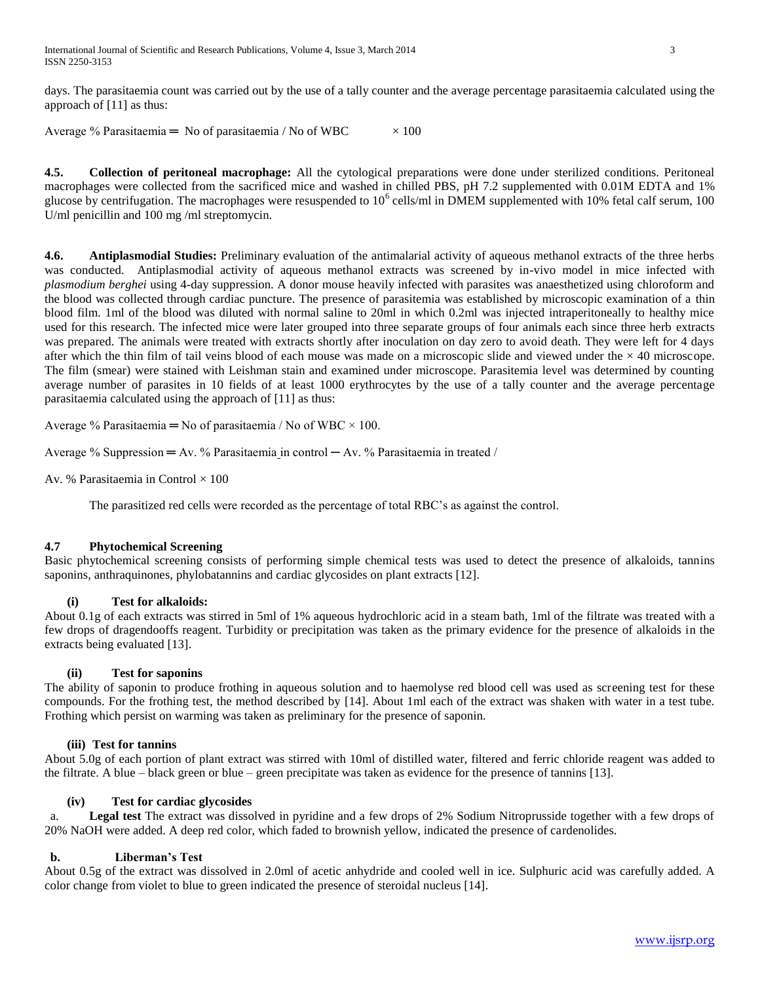International Journal of Scientific and Research Publications, Volume 4, Issue 3, March 2014 3 ISSN 2250-3153

days. The parasitaemia count was carried out by the use of a tally counter and the average percentage parasitaemia calculated using the approach of [11] as thus:

Average % Parasitaemia = No of parasitaemia / No of WBC  $\times 100$ 

**4.5. Collection of peritoneal macrophage:** All the cytological preparations were done under sterilized conditions. Peritoneal macrophages were collected from the sacrificed mice and washed in chilled PBS, pH 7.2 supplemented with 0.01M EDTA and 1% glucose by centrifugation. The macrophages were resuspended to  $10^6$  cells/ml in DMEM supplemented with 10% fetal calf serum, 100 U/ml penicillin and 100 mg /ml streptomycin.

**4.6. Antiplasmodial Studies:** Preliminary evaluation of the antimalarial activity of aqueous methanol extracts of the three herbs was conducted. Antiplasmodial activity of aqueous methanol extracts was screened by in-vivo model in mice infected with *plasmodium berghei* using 4-day suppression. A donor mouse heavily infected with parasites was anaesthetized using chloroform and the blood was collected through cardiac puncture. The presence of parasitemia was established by microscopic examination of a thin blood film. 1ml of the blood was diluted with normal saline to 20ml in which 0.2ml was injected intraperitoneally to healthy mice used for this research. The infected mice were later grouped into three separate groups of four animals each since three herb extracts was prepared. The animals were treated with extracts shortly after inoculation on day zero to avoid death. They were left for 4 days after which the thin film of tail veins blood of each mouse was made on a microscopic slide and viewed under the  $\times$  40 microscope. The film (smear) were stained with Leishman stain and examined under microscope. Parasitemia level was determined by counting average number of parasites in 10 fields of at least 1000 erythrocytes by the use of a tally counter and the average percentage parasitaemia calculated using the approach of [11] as thus:

Average % Parasitaemia = No of parasitaemia / No of WBC  $\times$  100.

Average % Suppression  $= Av.$  % Parasitaemia in control  $- Av.$  % Parasitaemia in treated /

Av. % Parasitaemia in Control  $\times$  100

The parasitized red cells were recorded as the percentage of total RBC's as against the control.

#### **4.7 Phytochemical Screening**

Basic phytochemical screening consists of performing simple chemical tests was used to detect the presence of alkaloids, tannins saponins, anthraquinones, phylobatannins and cardiac glycosides on plant extracts [12].

#### **(i) Test for alkaloids:**

About 0.1g of each extracts was stirred in 5ml of 1% aqueous hydrochloric acid in a steam bath, 1ml of the filtrate was treated with a few drops of dragendooffs reagent. Turbidity or precipitation was taken as the primary evidence for the presence of alkaloids in the extracts being evaluated [13].

#### **(ii) Test for saponins**

The ability of saponin to produce frothing in aqueous solution and to haemolyse red blood cell was used as screening test for these compounds. For the frothing test, the method described by [14]. About 1ml each of the extract was shaken with water in a test tube. Frothing which persist on warming was taken as preliminary for the presence of saponin.

## **(iii) Test for tannins**

About 5.0g of each portion of plant extract was stirred with 10ml of distilled water, filtered and ferric chloride reagent was added to the filtrate. A blue – black green or blue – green precipitate was taken as evidence for the presence of tannins [13].

## **(iv) Test for cardiac glycosides**

a. **Legal test** The extract was dissolved in pyridine and a few drops of 2% Sodium Nitroprusside together with a few drops of 20% NaOH were added. A deep red color, which faded to brownish yellow, indicated the presence of cardenolides.

## **b. Liberman's Test**

About 0.5g of the extract was dissolved in 2.0ml of acetic anhydride and cooled well in ice. Sulphuric acid was carefully added. A color change from violet to blue to green indicated the presence of steroidal nucleus [14].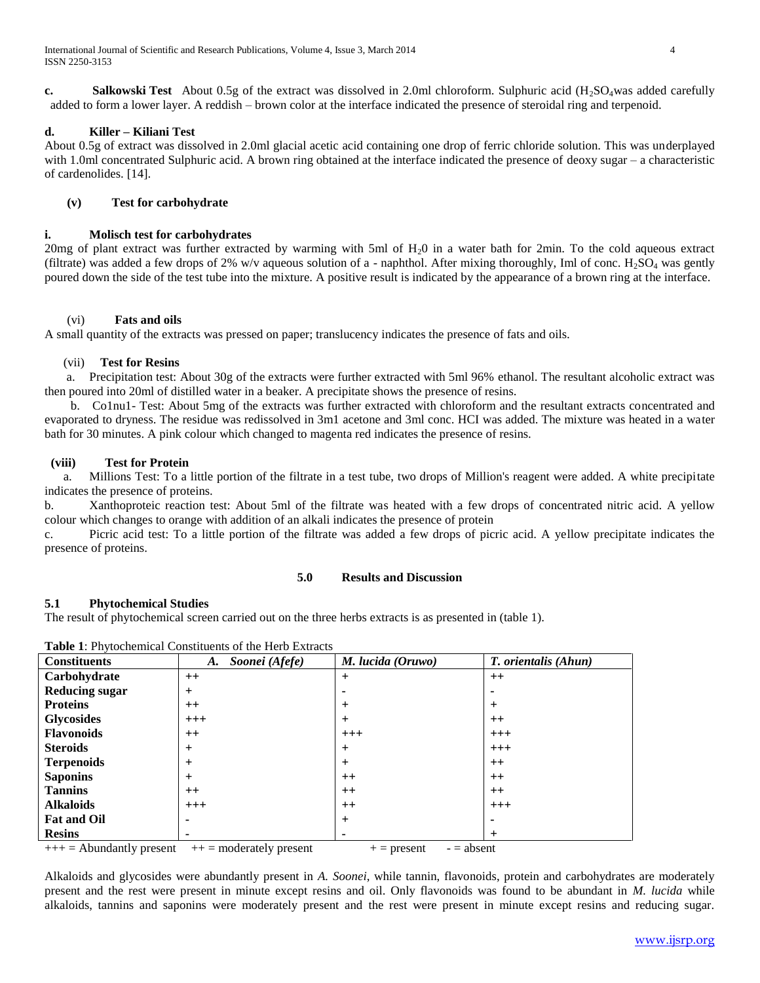**c. Salkowski Test** About 0.5g of the extract was dissolved in 2.0ml chloroform. Sulphuric acid (H<sub>2</sub>SO<sub>4</sub>was added carefully added to form a lower layer. A reddish – brown color at the interface indicated the presence of steroidal ring and terpenoid.

# **d. Killer – Kiliani Test**

About 0.5g of extract was dissolved in 2.0ml glacial acetic acid containing one drop of ferric chloride solution. This was underplayed with 1.0ml concentrated Sulphuric acid. A brown ring obtained at the interface indicated the presence of deoxy sugar – a characteristic of cardenolides. [14].

## **(v) Test for carbohydrate**

# **i. Molisch test for carbohydrates**

20mg of plant extract was further extracted by warming with 5ml of H20 in a water bath for 2min. To the cold aqueous extract (filtrate) was added a few drops of 2% w/v aqueous solution of a - naphthol. After mixing thoroughly, Iml of conc.  $H_2SO_4$  was gently poured down the side of the test tube into the mixture. A positive result is indicated by the appearance of a brown ring at the interface.

## (vi) **Fats and oils**

A small quantity of the extracts was pressed on paper; translucency indicates the presence of fats and oils.

# (vii) **Test for Resins**

 a. Precipitation test: About 30g of the extracts were further extracted with 5ml 96% ethanol. The resultant alcoholic extract was then poured into 20ml of distilled water in a beaker. A precipitate shows the presence of resins.

b. Co1nu1- Test: About 5mg of the extracts was further extracted with chloroform and the resultant extracts concentrated and evaporated to dryness. The residue was redissolved in 3m1 acetone and 3ml conc. HCI was added. The mixture was heated in a water bath for 30 minutes. A pink colour which changed to magenta red indicates the presence of resins.

# **(viii) Test for Protein**

 a. Millions Test: To a little portion of the filtrate in a test tube, two drops of Million's reagent were added. A white precipitate indicates the presence of proteins.

b. Xanthoproteic reaction test: About 5ml of the filtrate was heated with a few drops of concentrated nitric acid. A yellow colour which changes to orange with addition of an alkali indicates the presence of protein

c. Picric acid test: To a little portion of the filtrate was added a few drops of picric acid. A yellow precipitate indicates the presence of proteins.

## **5.0 Results and Discussion**

# **5.1 Phytochemical Studies**

The result of phytochemical screen carried out on the three herbs extracts is as presented in (table 1).

| <b>Constituents</b>              | Soonei (Afefe)<br>A.          | M. lucida (Oruwo)         | T. orientalis (Ahun) |
|----------------------------------|-------------------------------|---------------------------|----------------------|
| Carbohydrate                     | $++$                          | $+$                       | $++$                 |
| <b>Reducing sugar</b>            | $^{+}$                        | -                         |                      |
| <b>Proteins</b>                  | $++$                          | $\div$                    | $\pm$                |
| <b>Glycosides</b>                | $+++$                         | $\pm$                     | $++$                 |
| <b>Flavonoids</b>                | $++$                          | $+++$                     | $+++$                |
| <b>Steroids</b>                  | $^{+}$                        | $+$                       | $+++$                |
| <b>Terpenoids</b>                | $\pm$                         | $^{+}$                    | $++$                 |
| <b>Saponins</b>                  | $\pm$                         | $++$                      | $++$                 |
| <b>Tannins</b>                   | $++$                          | $++$                      | $++$                 |
| <b>Alkaloids</b>                 | $+++$                         | $++$                      | $+++$                |
| <b>Fat and Oil</b>               | -                             | $+$                       |                      |
| <b>Resins</b>                    | ۰                             | ۰                         | $+$                  |
| $11 - \Lambda$ bundontly procont | $\cdots$ = moderately present | $=$ abcont<br>$-$ procent |                      |

**Table 1**: Phytochemical Constituents of the Herb Extracts

 $=$  Abundantly present  $++$  = moderately present  $++$  = present  $-$  = absent

Alkaloids and glycosides were abundantly present in *A. Soonei*, while tannin, flavonoids, protein and carbohydrates are moderately present and the rest were present in minute except resins and oil. Only flavonoids was found to be abundant in *M. lucida* while alkaloids, tannins and saponins were moderately present and the rest were present in minute except resins and reducing sugar.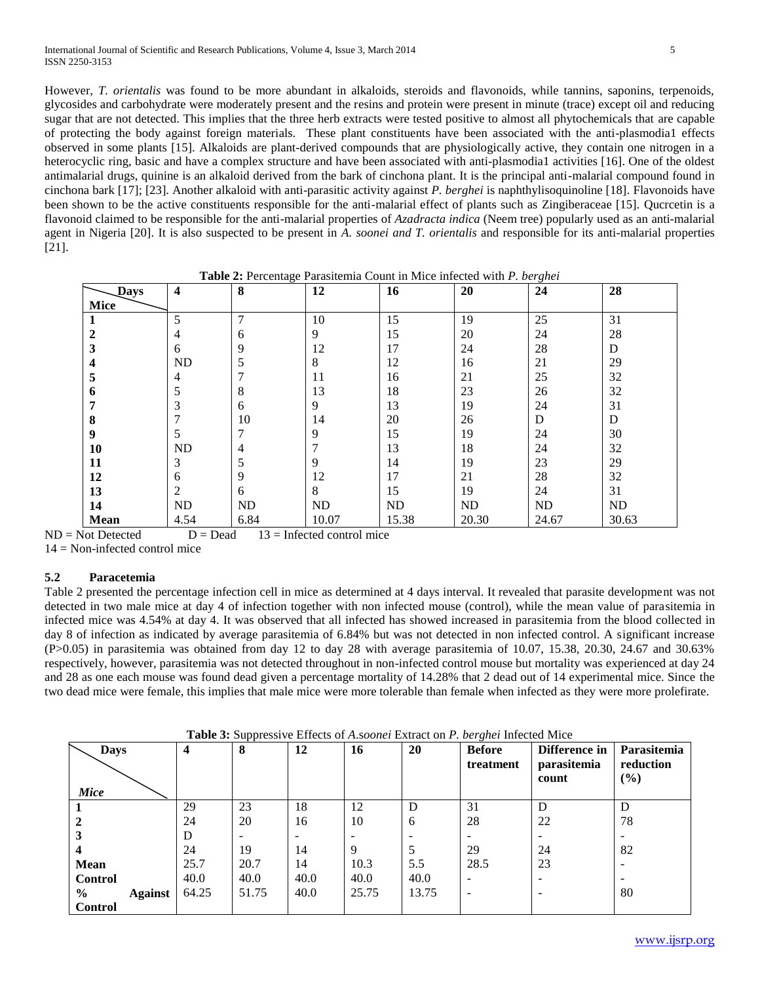International Journal of Scientific and Research Publications, Volume 4, Issue 3, March 2014 5 ISSN 2250-3153

However, *T. orientalis* was found to be more abundant in alkaloids, steroids and flavonoids, while tannins, saponins, terpenoids, glycosides and carbohydrate were moderately present and the resins and protein were present in minute (trace) except oil and reducing sugar that are not detected. This implies that the three herb extracts were tested positive to almost all phytochemicals that are capable of protecting the body against foreign materials. These plant constituents have been associated with the anti-plasmodia1 effects observed in some plants [15]. Alkaloids are plant-derived compounds that are physiologically active, they contain one nitrogen in a heterocyclic ring, basic and have a complex structure and have been associated with anti-plasmodia1 activities [16]. One of the oldest antimalarial drugs, quinine is an alkaloid derived from the bark of cinchona plant. It is the principal anti-malarial compound found in cinchona bark [17]; [23]. Another alkaloid with anti-parasitic activity against *P. berghei* is naphthylisoquinoline [18]. Flavonoids have been shown to be the active constituents responsible for the anti-malarial effect of plants such as Zingiberaceae [15]*.* Qucrcetin is a flavonoid claimed to be responsible for the anti-malarial properties of *Azadracta indica* (Neem tree) popularly used as an anti-malarial agent in Nigeria [20]. It is also suspected to be present in *A. soonei and T. orientalis* and responsible for its anti-malarial properties [21].

**Table 2:** Percentage Parasitemia Count in Mice infected with *P. berghei*

| <b>Days</b>    | $\overline{\mathbf{4}}$ | $\bf{8}$       | 12            | 16    | 20    | 24    | 28    |
|----------------|-------------------------|----------------|---------------|-------|-------|-------|-------|
| Mice           |                         |                |               |       |       |       |       |
|                | 5                       | $\overline{7}$ | 10            | 15    | 19    | 25    | 31    |
| $\overline{2}$ | 4                       | 6              | 9             | 15    | 20    | 24    | 28    |
| 3              | 6                       | 9              | 12            | 17    | 24    | 28    | D     |
| 4              | ND                      | 5              | 8             | 12    | 16    | 21    | 29    |
| 5              | 4                       | 7              | 11            | 16    | 21    | 25    | 32    |
| 6              | 5                       | 8              | 13            | 18    | 23    | 26    | 32    |
| 7              | 3                       | 6              | 9             | 13    | 19    | 24    | 31    |
| 8              | 7                       | 10             | 14            | 20    | 26    | D     | D     |
| 9              | 5                       | 7              | 9             | 15    | 19    | 24    | 30    |
| 10             | ND                      | $\overline{4}$ | $\mathcal{I}$ | 13    | 18    | 24    | 32    |
| 11             | 3                       | 5              | 9             | 14    | 19    | 23    | 29    |
| 12             | 6                       | 9              | 12            | 17    | 21    | 28    | 32    |
| 13             | $\boldsymbol{2}$        | 6              | 8             | 15    | 19    | 24    | 31    |
| 14             | ND                      | ND             | $\rm ND$      | ND    | ND    | ND    | ND    |
| <b>Mean</b>    | 4.54                    | 6.84           | 10.07         | 15.38 | 20.30 | 24.67 | 30.63 |

 $ND = Not$  Detected  $D = Dead$  13 = Infected control mice  $14 = \text{Non-infected control mice}$ 

## **5.2 Paracetemia**

Table 2 presented the percentage infection cell in mice as determined at 4 days interval. It revealed that parasite development was not detected in two male mice at day 4 of infection together with non infected mouse (control), while the mean value of parasitemia in infected mice was 4.54% at day 4. It was observed that all infected has showed increased in parasitemia from the blood collected in day 8 of infection as indicated by average parasitemia of 6.84% but was not detected in non infected control. A significant increase (P>0.05) in parasitemia was obtained from day 12 to day 28 with average parasitemia of 10.07, 15.38, 20.30, 24.67 and 30.63% respectively, however, parasitemia was not detected throughout in non-infected control mouse but mortality was experienced at day 24 and 28 as one each mouse was found dead given a percentage mortality of 14.28% that 2 dead out of 14 experimental mice. Since the two dead mice were female, this implies that male mice were more tolerable than female when infected as they were more prolefirate.

| <b>Days</b><br>Mice    | 4     | . .<br>8 | 12   | 16    | 20    | $\sim$<br><b>Before</b><br>treatment | Difference in<br>parasitemia<br>count | Parasitemia<br>reduction<br>$(\%)$ |
|------------------------|-------|----------|------|-------|-------|--------------------------------------|---------------------------------------|------------------------------------|
|                        | 29    | 23       | 18   | 12    | D     | 31                                   | D                                     | D                                  |
| $\mathbf{2}$           | 24    | 20       | 16   | 10    | 6     | 28                                   | 22                                    | 78                                 |
| 3                      | D     |          |      |       |       |                                      |                                       |                                    |
| 4                      | 24    | 19       | 14   | 9     |       | 29                                   | 24                                    | 82                                 |
| Mean                   | 25.7  | 20.7     | 14   | 10.3  | 5.5   | 28.5                                 | 23                                    |                                    |
| <b>Control</b>         | 40.0  | 40.0     | 40.0 | 40.0  | 40.0  | ۰                                    |                                       |                                    |
| $\%$<br><b>Against</b> | 64.25 | 51.75    | 40.0 | 25.75 | 13.75 | -                                    |                                       | 80                                 |
| <b>Control</b>         |       |          |      |       |       |                                      |                                       |                                    |

**Table 3:** Suppressive Effects of *A*.s*oonei* Extract on *P. berghei* Infected Mice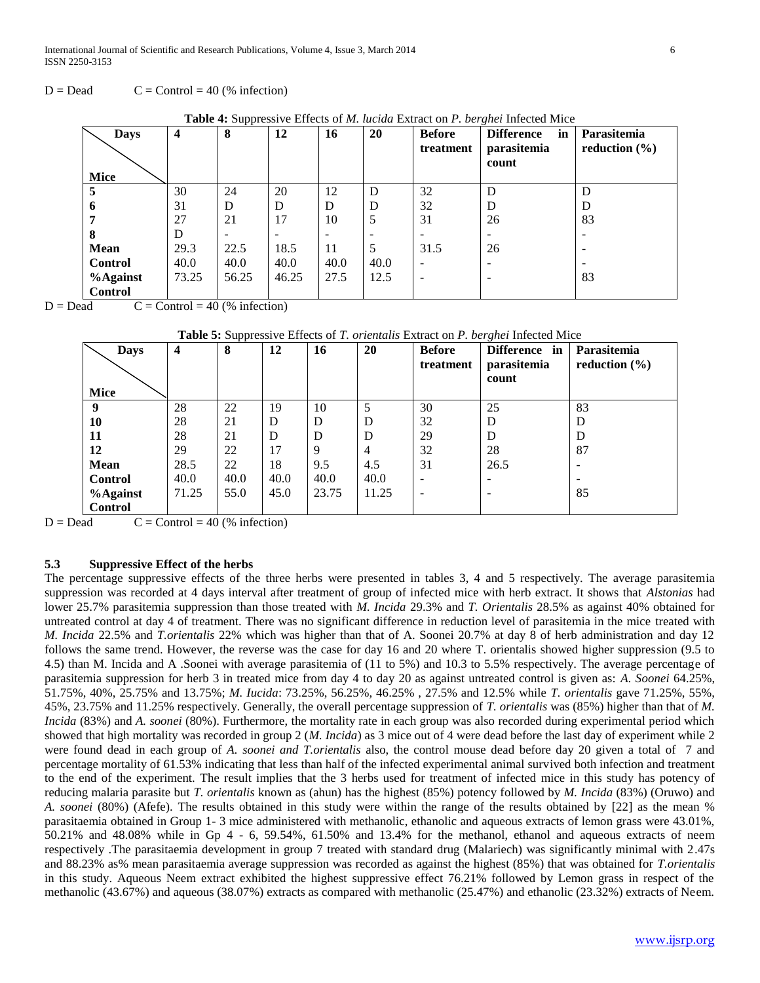International Journal of Scientific and Research Publications, Volume 4, Issue 3, March 2014 6 ISSN 2250-3153

 $D = Dead$   $C = Control = 40$  (% infection)

| <b>Days</b>    | 4     | 8     | 12    | 16   | <b>20</b> | <b>Before</b> | <b>Difference</b><br>in | Parasitemia       |
|----------------|-------|-------|-------|------|-----------|---------------|-------------------------|-------------------|
|                |       |       |       |      |           | treatment     | parasitemia<br>count    | reduction $(\% )$ |
| Mice           |       |       |       |      |           |               |                         |                   |
| 5              | 30    | 24    | 20    | 12   | D         | 32            | D                       | D                 |
| 6              | 31    | D     | D     | D    | D         | 32            | D                       | D                 |
|                | 27    | 21    | 17    | 10   | 5         | 31            | 26                      | 83                |
| 8              | D     |       |       |      |           |               |                         |                   |
| Mean           | 29.3  | 22.5  | 18.5  | 11   | 5         | 31.5          | 26                      |                   |
| <b>Control</b> | 40.0  | 40.0  | 40.0  | 40.0 | 40.0      |               |                         |                   |
| %Against       | 73.25 | 56.25 | 46.25 | 27.5 | 12.5      |               |                         | 83                |
| <b>Control</b> |       |       |       |      |           |               |                         |                   |

**Table 4:** Suppressive Effects of *M. lucida* Extract on *P. berghei* Infected Mice

 $D = Dead$   $C = Control = 40$  (% infection)

|  |  |  | Table 5: Suppressive Effects of T. orientalis Extract on P. berghei Infected Mice |  |  |  |  |  |  |  |  |
|--|--|--|-----------------------------------------------------------------------------------|--|--|--|--|--|--|--|--|
|--|--|--|-----------------------------------------------------------------------------------|--|--|--|--|--|--|--|--|

| <b>Days</b><br><b>Mice</b> | $\overline{\mathbf{4}}$ | 8    | 12   | 16    | 20    | <b>Before</b><br>treatment | Difference in<br>parasitemia<br>count | Parasitemia<br>reduction $(\% )$ |
|----------------------------|-------------------------|------|------|-------|-------|----------------------------|---------------------------------------|----------------------------------|
| 9                          | 28                      | 22   | 19   | 10    | 5     | 30                         | 25                                    | 83                               |
| 10                         | 28                      | 21   | D    | D     | D     | 32                         | D                                     | D                                |
| 11                         | 28                      | 21   | D    | D     | D     | 29                         | D                                     | D                                |
| 12                         | 29                      | 22   | 17   | 9     | 4     | 32                         | 28                                    | 87                               |
| <b>Mean</b>                | 28.5                    | 22   | 18   | 9.5   | 4.5   | 31                         | 26.5                                  | $\overline{\phantom{a}}$         |
| <b>Control</b>             | 40.0                    | 40.0 | 40.0 | 40.0  | 40.0  |                            |                                       | $\overline{\phantom{a}}$         |
| $%$ Against                | 71.25                   | 55.0 | 45.0 | 23.75 | 11.25 |                            |                                       | 85                               |
| <b>Control</b>             |                         |      |      |       |       |                            |                                       |                                  |

 $D = Dead$   $C = Control = 40$  (% infection)

#### **5.3 Suppressive Effect of the herbs**

The percentage suppressive effects of the three herbs were presented in tables 3, 4 and 5 respectively. The average parasitemia suppression was recorded at 4 days interval after treatment of group of infected mice with herb extract. It shows that *Alstonias* had lower 25.7% parasitemia suppression than those treated with *M. Incida* 29.3% and *T. Orientalis* 28.5% as against 40% obtained for untreated control at day 4 of treatment. There was no significant difference in reduction level of parasitemia in the mice treated with *M. Incida* 22.5% and *T.orientalis* 22% which was higher than that of A. Soonei 20.7% at day 8 of herb administration and day 12 follows the same trend. However, the reverse was the case for day 16 and 20 where T. orientalis showed higher suppression (9.5 to 4.5) than M. Incida and A .Soonei with average parasitemia of (11 to 5%) and 10.3 to 5.5% respectively. The average percentage of parasitemia suppression for herb 3 in treated mice from day 4 to day 20 as against untreated control is given as: *A. Soonei* 64.25%, 51.75%, 40%, 25.75% and 13.75%; *M. Iucida*: 73.25%, 56.25%, 46.25% , 27.5% and 12.5% while *T. orientalis* gave 71.25%, 55%, 45%, 23.75% and 11.25% respectively. Generally, the overall percentage suppression of *T. orientalis* was (85%) higher than that of *M. Incida* (83%) and *A. soonei* (80%). Furthermore, the mortality rate in each group was also recorded during experimental period which showed that high mortality was recorded in group 2 (*M. Incida*) as 3 mice out of 4 were dead before the last day of experiment while 2 were found dead in each group of *A. soonei and T.orientalis* also, the control mouse dead before day 20 given a total of 7 and percentage mortality of 61.53% indicating that less than half of the infected experimental animal survived both infection and treatment to the end of the experiment. The result implies that the 3 herbs used for treatment of infected mice in this study has potency of reducing malaria parasite but *T. orientalis* known as (ahun) has the highest (85%) potency followed by *M. Incida* (83%) (Oruwo) and *A. soonei* (80%) (Afefe). The results obtained in this study were within the range of the results obtained by [22] as the mean % parasitaemia obtained in Group 1- 3 mice administered with methanolic, ethanolic and aqueous extracts of lemon grass were 43.01%, 50.21% and 48.08% while in Gp 4 - 6, 59.54%, 61.50% and 13.4% for the methanol, ethanol and aqueous extracts of neem respectively .The parasitaemia development in group 7 treated with standard drug (Malariech) was significantly minimal with 2.47s and 88.23% as% mean parasitaemia average suppression was recorded as against the highest (85%) that was obtained for *T.orientalis* in this study. Aqueous Neem extract exhibited the highest suppressive effect 76.21% followed by Lemon grass in respect of the methanolic (43.67%) and aqueous (38.07%) extracts as compared with methanolic (25.47%) and ethanolic (23.32%) extracts of Neem.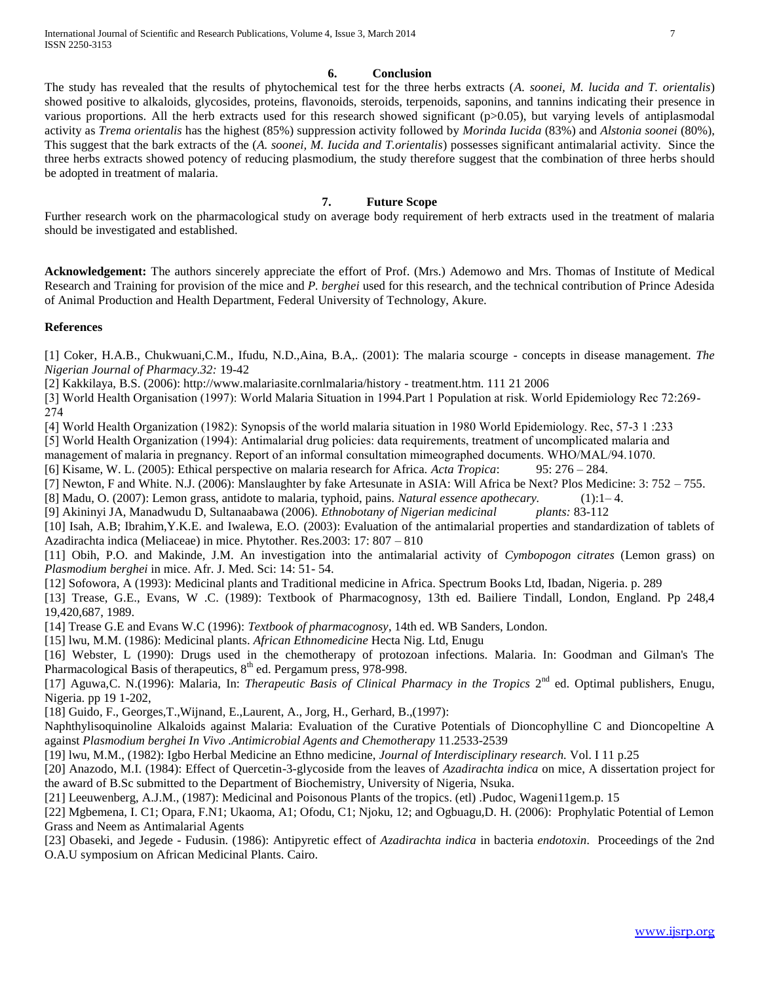#### **6. Conclusion**

The study has revealed that the results of phytochemical test for the three herbs extracts (*A. soonei, M. lucida and T. orientalis*) showed positive to alkaloids, glycosides, proteins, flavonoids, steroids, terpenoids, saponins, and tannins indicating their presence in various proportions. All the herb extracts used for this research showed significant (p>0.05), but varying levels of antiplasmodal activity as *Trema orientalis* has the highest (85%) suppression activity followed by *Morinda Iucida* (83%) and *Alstonia soonei* (80%), This suggest that the bark extracts of the (*A. soonei, M. Iucida and T.orientalis*) possesses significant antimalarial activity. Since the three herbs extracts showed potency of reducing plasmodium, the study therefore suggest that the combination of three herbs should be adopted in treatment of malaria.

## **7. Future Scope**

Further research work on the pharmacological study on average body requirement of herb extracts used in the treatment of malaria should be investigated and established.

**Acknowledgement:** The authors sincerely appreciate the effort of Prof. (Mrs.) Ademowo and Mrs. Thomas of Institute of Medical Research and Training for provision of the mice and *P. berghei* used for this research, and the technical contribution of Prince Adesida of Animal Production and Health Department, Federal University of Technology, Akure.

#### **References**

[1] Coker, H.A.B., Chukwuani,C.M., Ifudu, N.D.,Aina, B.A,. (2001): The malaria scourge - concepts in disease management. *The Nigerian Journal of Pharmacy.32:* 19-42

[2] Kakkilaya, B.S. (2006): http://www.malariasite.cornlmalaria/history - treatment.htm. 111 21 2006

[3] World Health Organisation (1997): World Malaria Situation in 1994.Part 1 Population at risk. World Epidemiology Rec 72:269- 274

[4] World Health Organization (1982): Synopsis of the world malaria situation in 1980 World Epidemiology. Rec, 57-3 1 :233

[5] World Health Organization (1994): Antimalarial drug policies: data requirements, treatment of uncomplicated malaria and

management of malaria in pregnancy. Report of an informal consultation mimeographed documents. WHO/MAL/94.1070.

[6] Kisame, W. L. (2005): Ethical perspective on malaria research for Africa. *Acta Tropica*: 95: 276 – 284.

[7] Newton, F and White. N.J. (2006): Manslaughter by fake Artesunate in ASIA: Will Africa be Next? Plos Medicine: 3: 752 – 755.

[8] Madu, O. (2007): Lemon grass, antidote to malaria, typhoid, pains. *Natural essence apothecary.* (1):1– 4.

[9] Akininyi JA, Manadwudu D, Sultanaabawa (2006). *Ethnobotany of Nigerian medicinal plants:* 83-112

[10] Isah, A.B; Ibrahim,Y.K.E. and Iwalewa, E.O. (2003): Evaluation of the antimalarial properties and standardization of tablets of Azadirachta indica (Meliaceae) in mice. Phytother. Res.2003: 17: 807 – 810

[11] Obih, P.O. and Makinde, J.M. An investigation into the antimalarial activity of *Cymbopogon citrates* (Lemon grass) on *Plasmodium berghei* in mice. Afr. J. Med. Sci: 14: 51- 54.

[12] Sofowora, A (1993): Medicinal plants and Traditional medicine in Africa. Spectrum Books Ltd, Ibadan, Nigeria. p. 289

[13] Trease, G.E., Evans, W .C. (1989): Textbook of Pharmacognosy, 13th ed. Bailiere Tindall, London, England. Pp 248,4 19,420,687, 1989.

[14] Trease G.E and Evans W.C (1996): *Textbook of pharmacognosy*, 14th ed. WB Sanders, London.

[15] lwu, M.M. (1986): Medicinal plants. *African Ethnomedicine* Hecta Nig. Ltd, Enugu

[16] Webster, L (1990): Drugs used in the chemotherapy of protozoan infections. Malaria. In: Goodman and Gilman's The Pharmacological Basis of therapeutics,  $8<sup>th</sup>$  ed. Pergamum press, 978-998.

[17] Aguwa, C. N. (1996): Malaria, In: *Therapeutic Basis of Clinical Pharmacy in the Tropics* 2<sup>nd</sup> ed. Optimal publishers, Enugu, Nigeria. pp 19 1-202,

[18] Guido, F., Georges,T.,Wijnand, E.,Laurent, A., Jorg, H., Gerhard, B.,(1997):

Naphthylisoquinoline Alkaloids against Malaria: Evaluation of the Curative Potentials of Dioncophylline C and Dioncopeltine A against *Plasmodium berghei In Vivo .Antimicrobial Agents and Chemotherapy* 11.2533-2539

[19] lwu, M.M., (1982): Igbo Herbal Medicine an Ethno medicine, *Journal of Interdisciplinary research.* Vol. I 11 p.25

[20] Anazodo, M.I. (1984): Effect of Quercetin-3-glycoside from the leaves of *Azadirachta indica* on mice, A dissertation project for the award of B.Sc submitted to the Department of Biochemistry, University of Nigeria, Nsuka.

[21] Leeuwenberg, A.J.M., (1987): Medicinal and Poisonous Plants of the tropics. (etl) .Pudoc, Wageni11gem.p. 15

[22] Mgbemena, I. C1; Opara, F.N1; Ukaoma, A1; Ofodu, C1; Njoku, 12; and Ogbuagu,D. H. (2006): Prophylatic Potential of Lemon Grass and Neem as Antimalarial Agents

[23] Obaseki, and Jegede - Fudusin. (1986): Antipyretic effect of *Azadirachta indica* in bacteria *endotoxin*. Proceedings of the 2nd O.A.U symposium on African Medicinal Plants. Cairo.